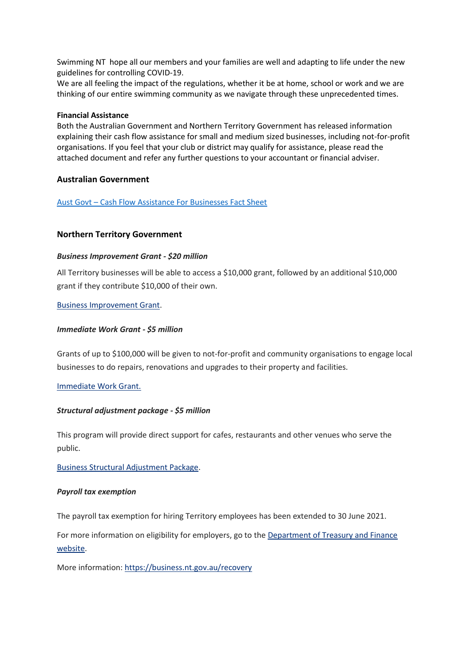Swimming NT hope all our members and your families are well and adapting to life under the new guidelines for controlling COVID-19.

We are all feeling the impact of the regulations, whether it be at home, school or work and we are thinking of our entire swimming community as we navigate through these unprecedented times.

#### **Financial Assistance**

Both the Australian Government and Northern Territory Government has released information explaining their cash flow assistance for small and medium sized businesses, including not-for-profit organisations. If you feel that your club or district may qualify for assistance, please read the attached document and refer any further questions to your accountant or financial adviser.

### **Australian Government**

Aust Govt – [Cash Flow Assistance For Businesses Fact Sheet](https://protect-au.mimecast.com/s/kJUFCk81gyuqRQ8T9CMvR?domain=drive.google.com)

## **Northern Territory Government**

#### *Business Improvement Grant - \$20 million*

All Territory businesses will be able to access a \$10,000 grant, followed by an additional \$10,000 grant if they contribute \$10,000 of their own.

#### [Business Improvement Grant.](https://protect-au.mimecast.com/s/LE7DClx10zuz3Z0T19NRx?domain=sailing.us13.list-manage.com)

#### *Immediate Work Grant - \$5 million*

Grants of up to \$100,000 will be given to not-for-profit and community organisations to engage local businesses to do repairs, renovations and upgrades to their property and facilities.

### [Immediate Work Grant.](https://protect-au.mimecast.com/s/CAQyCmO5kAuR7nBSDf3pB?domain=sailing.us13.list-manage.com)

### *Structural adjustment package - \$5 million*

This program will provide direct support for cafes, restaurants and other venues who serve the public.

[Business Structural Adjustment Package.](https://protect-au.mimecast.com/s/EHt_Cnx1lBu61oAcpQp7R?domain=sailing.us13.list-manage.com)

#### *Payroll tax exemption*

The payroll tax exemption for hiring Territory employees has been extended to 30 June 2021.

For more information on eligibility for employers, go to the **Department of Treasury and Finance** [website.](https://protect-au.mimecast.com/s/LAVJCoV1mDuK1zju7SQwX?domain=sailing.us13.list-manage.com)

More information[: https://business.nt.gov.au/recovery](https://protect-au.mimecast.com/s/f5z1Cp81nEuxJ81Fx9mGW?domain=sailing.us13.list-manage.com)